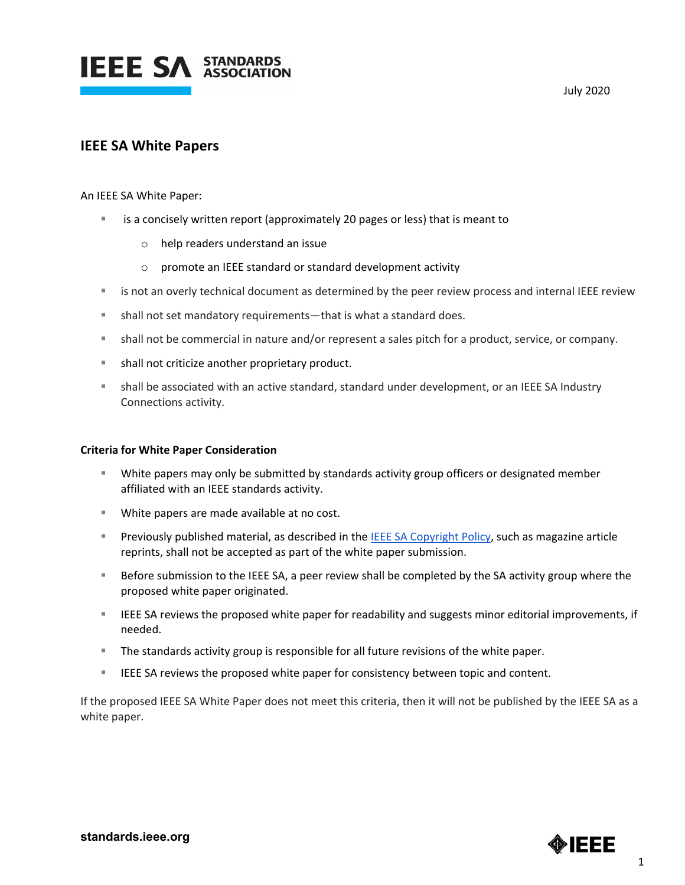

## July 2020

## **IEEE SA White Papers**

An IEEE SA White Paper:

- is a concisely written report (approximately 20 pages or less) that is meant to
	- o help readers understand an issue
	- o promote an IEEE standard or standard development activity
- is not an overly technical document as determined by the peer review process and internal IEEE review
- shall not set mandatory requirements—that is what a standard does.
- shall not be commercial in nature and/or represent a sales pitch for a product, service, or company.
- **shall not criticize another proprietary product.**
- shall be associated with an active standard, standard under development, or an IEEE SA Industry Connections activity.

## **Criteria for White Paper Consideration**

- White papers may only be submitted by standards activity group officers or designated member affiliated with an IEEE standards activity.
- White papers are made available at no cost.
- **Previously published material, as described in the IEEE SA Copyright Policy, such as magazine article** reprints, shall not be accepted as part of the white paper submission.
- **Before submission to the IEEE SA, a peer review shall be completed by the SA activity group where the** proposed white paper originated.
- **IFEE SA reviews the proposed white paper for readability and suggests minor editorial improvements, if** needed.
- **The standards activity group is responsible for all future revisions of the white paper.**
- **IEEE SA reviews the proposed white paper for consistency between topic and content.**

If the proposed IEEE SA White Paper does not meet this criteria, then it will not be published by the IEEE SA as a white paper.